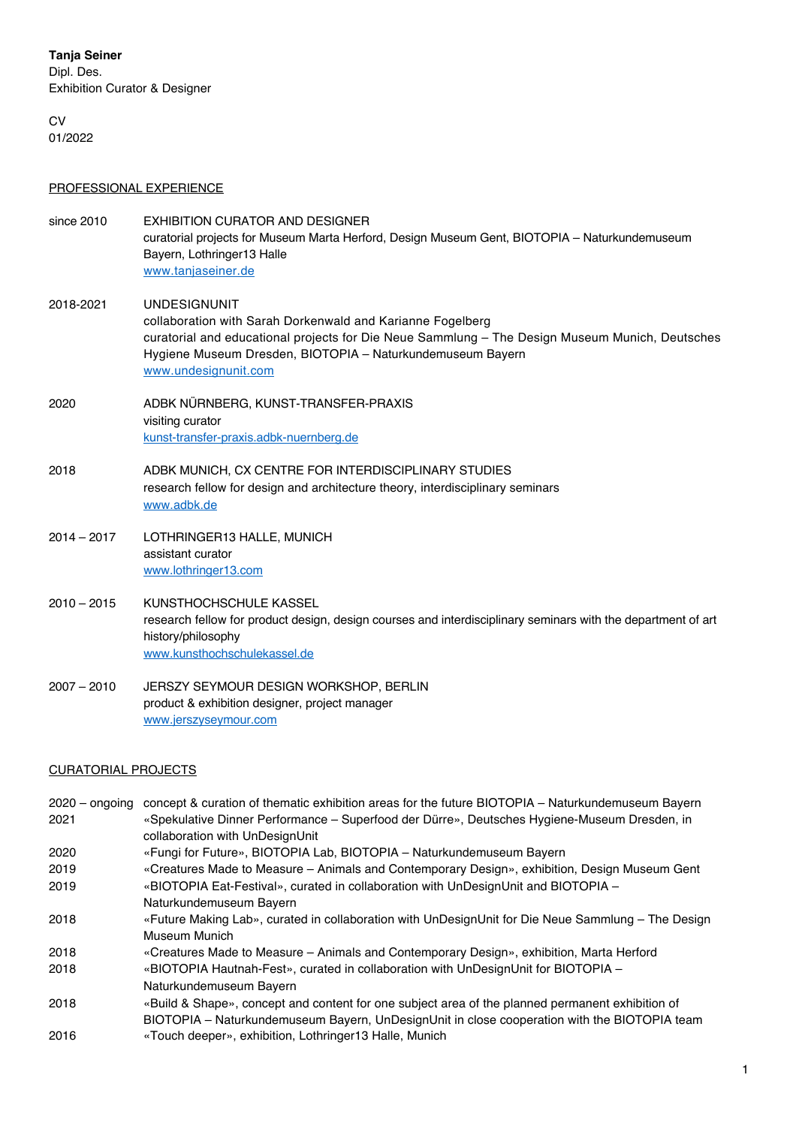## **Tanja Seiner**

Dipl. Des. Exhibition Curator & Designer

**CV** 01/2022

## PROFESSIONAL EXPERIENCE

| since 2010    | EXHIBITION CURATOR AND DESIGNER<br>curatorial projects for Museum Marta Herford, Design Museum Gent, BIOTOPIA - Naturkundemuseum<br>Bayern, Lothringer13 Halle<br>www.tanjaseiner.de                                                                                       |
|---------------|----------------------------------------------------------------------------------------------------------------------------------------------------------------------------------------------------------------------------------------------------------------------------|
| 2018-2021     | <b>UNDESIGNUNIT</b><br>collaboration with Sarah Dorkenwald and Karianne Fogelberg<br>curatorial and educational projects for Die Neue Sammlung - The Design Museum Munich, Deutsches<br>Hygiene Museum Dresden, BIOTOPIA - Naturkundemuseum Bayern<br>www.undesignunit.com |
| 2020          | ADBK NÜRNBERG, KUNST-TRANSFER-PRAXIS<br>visiting curator<br>kunst-transfer-praxis.adbk-nuernberg.de                                                                                                                                                                        |
| 2018          | ADBK MUNICH, CX CENTRE FOR INTERDISCIPLINARY STUDIES<br>research fellow for design and architecture theory, interdisciplinary seminars<br>www.adbk.de                                                                                                                      |
| $2014 - 2017$ | LOTHRINGER13 HALLE, MUNICH<br>assistant curator<br>www.lothringer13.com                                                                                                                                                                                                    |
| $2010 - 2015$ | KUNSTHOCHSCHULE KASSEL<br>research fellow for product design, design courses and interdisciplinary seminars with the department of art<br>history/philosophy<br>www.kunsthochschulekassel.de                                                                               |
| $2007 - 2010$ | JERSZY SEYMOUR DESIGN WORKSHOP, BERLIN<br>product & exhibition designer, project manager<br>www.jerszyseymour.com                                                                                                                                                          |

## CURATORIAL PROJECTS

| $2020 -$ ongoing | concept & curation of thematic exhibition areas for the future BIOTOPIA – Naturkundemuseum Bayern  |
|------------------|----------------------------------------------------------------------------------------------------|
| 2021             | «Spekulative Dinner Performance - Superfood der Dürre», Deutsches Hygiene-Museum Dresden, in       |
|                  | collaboration with UnDesignUnit                                                                    |
| 2020             | «Fungi for Future», BIOTOPIA Lab, BIOTOPIA – Naturkundemuseum Bayern                               |
| 2019             | «Creatures Made to Measure - Animals and Contemporary Design», exhibition, Design Museum Gent      |
| 2019             | «BIOTOPIA Eat-Festival», curated in collaboration with UnDesignUnit and BIOTOPIA -                 |
|                  | Naturkundemuseum Bayern                                                                            |
| 2018             | «Future Making Lab», curated in collaboration with UnDesignUnit for Die Neue Sammlung - The Design |
|                  | Museum Munich                                                                                      |
| 2018             | «Creatures Made to Measure – Animals and Contemporary Design», exhibition, Marta Herford           |
| 2018             | «BIOTOPIA Hautnah-Fest», curated in collaboration with UnDesignUnit for BIOTOPIA –                 |
|                  | Naturkundemuseum Bayern                                                                            |
| 2018             | «Build & Shape», concept and content for one subject area of the planned permanent exhibition of   |
|                  |                                                                                                    |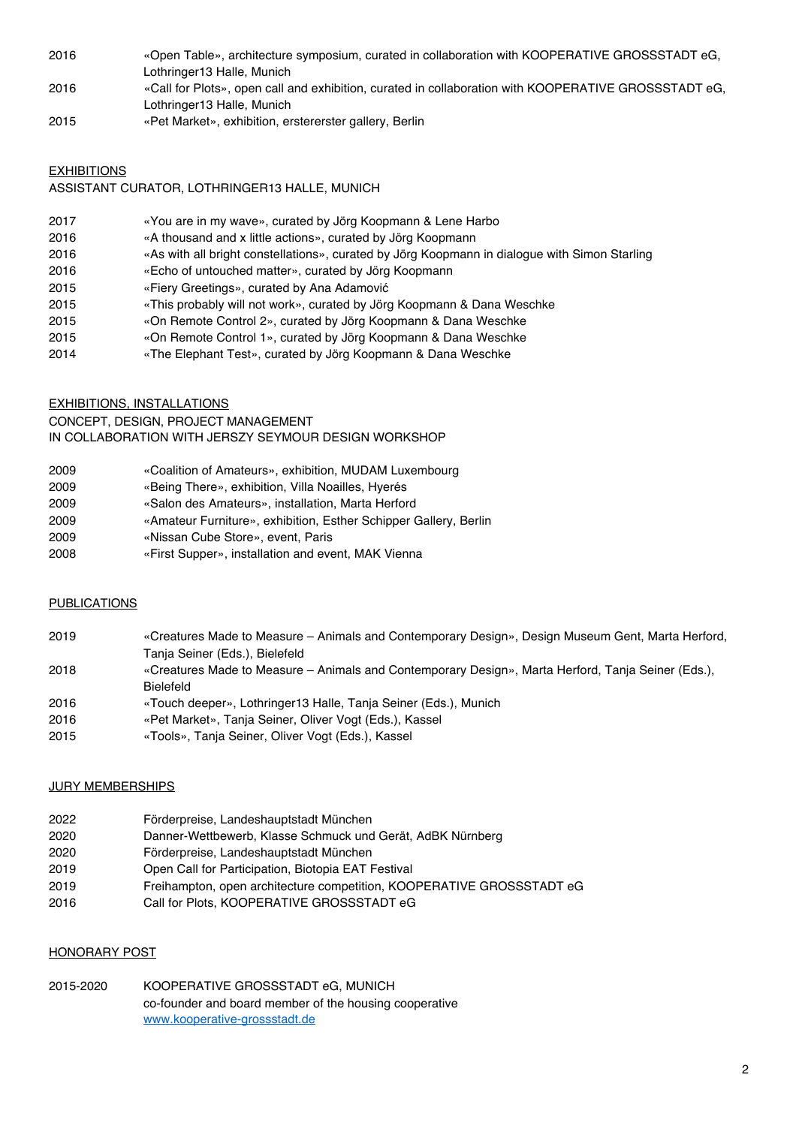- «Open Table», architecture symposium, curated in collaboration with KOOPERATIVE GROSSSTADT eG, Lothringer13 Halle, Munich
- «Call for Plots», open call and exhibition, curated in collaboration with KOOPERATIVE GROSSSTADT eG, Lothringer13 Halle, Munich
- «Pet Market», exhibition, erstererster gallery, Berlin

#### **EXHIBITIONS**

#### ASSISTANT CURATOR, LOTHRINGER13 HALLE, MUNICH

- «You are in my wave», curated by Jörg Koopmann & Lene Harbo
- 2016 «A thousand and x little actions», curated by Jörg Koopmann
- «As with all bright constellations», curated by Jörg Koopmann in dialogue with Simon Starling
- 2016 «Echo of untouched matter», curated by Jörg Koopmann
- «Fiery Greetings», curated by Ana Adamović
- «This probably will not work», curated by Jörg Koopmann & Dana Weschke
- «On Remote Control 2», curated by Jörg Koopmann & Dana Weschke
- «On Remote Control 1», curated by Jörg Koopmann & Dana Weschke
- «The Elephant Test», curated by Jörg Koopmann & Dana Weschke

#### EXHIBITIONS, INSTALLATIONS

CONCEPT, DESIGN, PROJECT MANAGEMENT IN COLLABORATION WITH JERSZY SEYMOUR DESIGN WORKSHOP

| 2009 | «Coalition of Amateurs», exhibition, MUDAM Luxembourg |
|------|-------------------------------------------------------|
| 2009 | «Being There», exhibition, Villa Noailles, Hyerés     |
| nnnn | Oslandas Americans directallation Mante Hanfand       |

- «Salon des Amateurs», installation, Marta Herford
- «Amateur Furniture», exhibition, Esther Schipper Gallery, Berlin
- «Nissan Cube Store», event, Paris
- «First Supper», installation and event, MAK Vienna

#### **PUBLICATIONS**

| 2019 | «Creatures Made to Measure – Animals and Contemporary Design», Design Museum Gent, Marta Herford,  |
|------|----------------------------------------------------------------------------------------------------|
|      | Tanja Seiner (Eds.), Bielefeld                                                                     |
| 2018 | «Creatures Made to Measure – Animals and Contemporary Design», Marta Herford, Tanja Seiner (Eds.), |
|      | <b>Bielefeld</b>                                                                                   |
| 2016 | «Touch deeper», Lothringer 13 Halle, Tanja Seiner (Eds.), Munich                                   |
| 2016 | «Pet Market», Tanja Seiner, Oliver Vogt (Eds.), Kassel                                             |
| 2015 | «Tools», Tanja Seiner, Oliver Vogt (Eds.), Kassel                                                  |

#### JURY MEMBERSHIPS

- Förderpreise, Landeshauptstadt München
- Danner-Wettbewerb, Klasse Schmuck und Gerät, AdBK Nürnberg
- Förderpreise, Landeshauptstadt München
- Open Call for Participation, Biotopia EAT Festival
- Freihampton, open architecture competition, KOOPERATIVE GROSSSTADT eG
- Call for Plots, KOOPERATIVE GROSSSTADT eG

#### HONORARY POST

2015-2020 KOOPERATIVE GROSSSTADT eG, MUNICH co-founder and board member of the housing cooperative www.kooperative-grossstadt.de